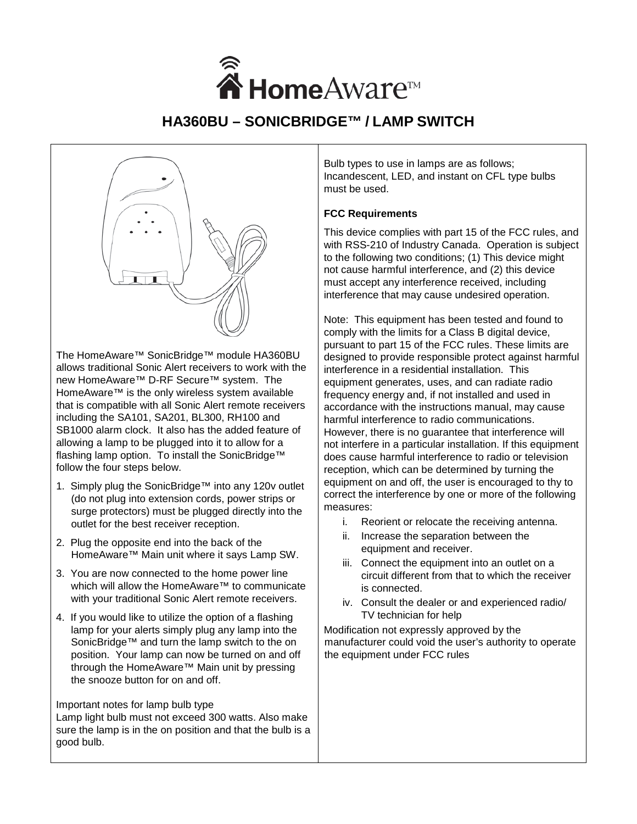

# **HA360BU – SONICBRIDGE™ / LAMP SWITCH**



The HomeAware™ SonicBridge™ module HA360BU allows traditional Sonic Alert receivers to work with the new HomeAware™ D-RF Secure™ system. The HomeAware™ is the only wireless system available that is compatible with all Sonic Alert remote receivers including the SA101, SA201, BL300, RH100 and SB1000 alarm clock. It also has the added feature of allowing a lamp to be plugged into it to allow for a flashing lamp option. To install the SonicBridge™ follow the four steps below.

- 1. Simply plug the SonicBridge™ into any 120v outlet (do not plug into extension cords, power strips or surge protectors) must be plugged directly into the outlet for the best receiver reception.
- 2. Plug the opposite end into the back of the HomeAware™ Main unit where it says Lamp SW.
- 3. You are now connected to the home power line which will allow the HomeAware™ to communicate with your traditional Sonic Alert remote receivers.
- 4. If you would like to utilize the option of a flashing lamp for your alerts simply plug any lamp into the SonicBridge™ and turn the lamp switch to the on position. Your lamp can now be turned on and off through the HomeAware™ Main unit by pressing the snooze button for on and off.

#### Important notes for lamp bulb type

Lamp light bulb must not exceed 300 watts. Also make sure the lamp is in the on position and that the bulb is a good bulb.

Bulb types to use in lamps are as follows; Incandescent, LED, and instant on CFL type bulbs must be used.

## **FCC Requirements**

This device complies with part 15 of the FCC rules, and with RSS-210 of Industry Canada. Operation is subject to the following two conditions; (1) This device might not cause harmful interference, and (2) this device must accept any interference received, including interference that may cause undesired operation.

Note: This equipment has been tested and found to comply with the limits for a Class B digital device, pursuant to part 15 of the FCC rules. These limits are designed to provide responsible protect against harmful interference in a residential installation. This equipment generates, uses, and can radiate radio frequency energy and, if not installed and used in accordance with the instructions manual, may cause harmful interference to radio communications. However, there is no guarantee that interference will not interfere in a particular installation. If this equipment does cause harmful interference to radio or television reception, which can be determined by turning the equipment on and off, the user is encouraged to thy to correct the interference by one or more of the following measures:

- i. Reorient or relocate the receiving antenna.
- ii. Increase the separation between the equipment and receiver.
- iii. Connect the equipment into an outlet on a circuit different from that to which the receiver is connected.
- iv. Consult the dealer or and experienced radio/ TV technician for help

Modification not expressly approved by the manufacturer could void the user's authority to operate the equipment under FCC rules